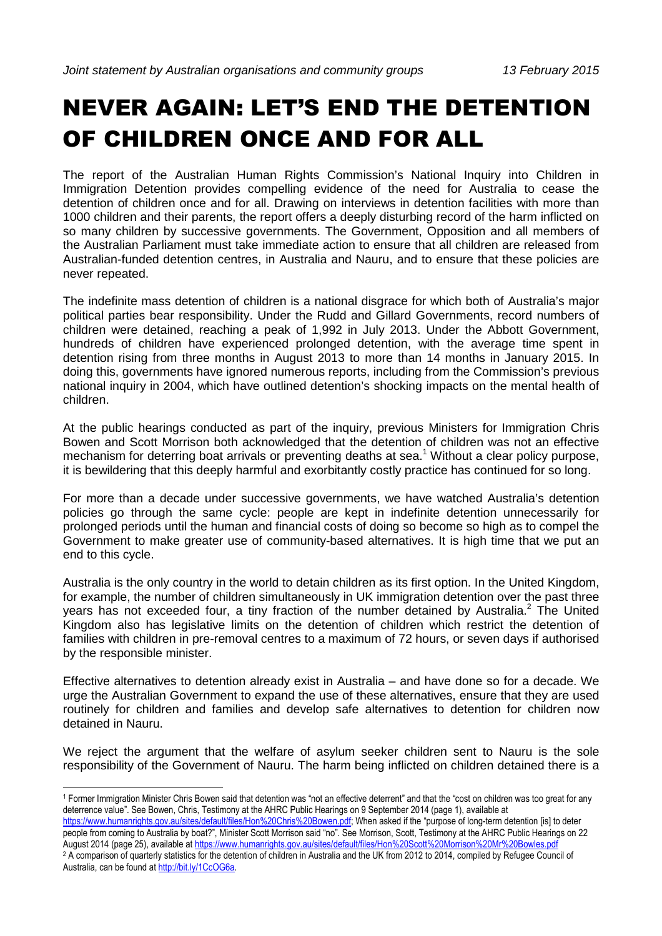## NEVER AGAIN: LET'S END THE DETENTION OF CHILDREN ONCE AND FOR ALL

The report of the Australian Human Rights Commission's National Inquiry into Children in Immigration Detention provides compelling evidence of the need for Australia to cease the detention of children once and for all. Drawing on interviews in detention facilities with more than 1000 children and their parents, the report offers a deeply disturbing record of the harm inflicted on so many children by successive governments. The Government, Opposition and all members of the Australian Parliament must take immediate action to ensure that all children are released from Australian-funded detention centres, in Australia and Nauru, and to ensure that these policies are never repeated.

The indefinite mass detention of children is a national disgrace for which both of Australia's major political parties bear responsibility. Under the Rudd and Gillard Governments, record numbers of children were detained, reaching a peak of 1,992 in July 2013. Under the Abbott Government, hundreds of children have experienced prolonged detention, with the average time spent in detention rising from three months in August 2013 to more than 14 months in January 2015. In doing this, governments have ignored numerous reports, including from the Commission's previous national inquiry in 2004, which have outlined detention's shocking impacts on the mental health of children.

At the public hearings conducted as part of the inquiry, previous Ministers for Immigration Chris Bowen and Scott Morrison both acknowledged that the detention of children was not an effective mechanism for deterring boat arrivals or preventing deaths at sea.<sup>1</sup> Without a clear policy purpose, it is bewildering that this deeply harmful and exorbitantly costly practice has continued for so long.

For more than a decade under successive governments, we have watched Australia's detention policies go through the same cycle: people are kept in indefinite detention unnecessarily for prolonged periods until the human and financial costs of doing so become so high as to compel the Government to make greater use of community-based alternatives. It is high time that we put an end to this cycle.

Australia is the only country in the world to detain children as its first option. In the United Kingdom, for example, the number of children simultaneously in UK immigration detention over the past three years has not exceeded four, a tiny fraction of the number detained by Australia.<sup>2</sup> The United Kingdom also has legislative limits on the detention of children which restrict the detention of families with children in pre-removal centres to a maximum of 72 hours, or seven days if authorised by the responsible minister.

Effective alternatives to detention already exist in Australia – and have done so for a decade. We urge the Australian Government to expand the use of these alternatives, ensure that they are used routinely for children and families and develop safe alternatives to detention for children now detained in Nauru.

We reject the argument that the welfare of asylum seeker children sent to Nauru is the sole responsibility of the Government of Nauru. The harm being inflicted on children detained there is a

 $\overline{a}$ 

https://www.humanrights.gov.au/sites/default/files/Hon%20Chris%20Bowen.pdf; When asked if the "purpose of long-term detention [is] to deter people from coming to Australia by boat?", Minister Scott Morrison said "no". See Morrison, Scott, Testimony at the AHRC Public Hearings on 22 August 2014 (page 25), available at https://www.humanrights.gov.au/sites/default/files/Hon%20Scott%20Morrison%20Mr%20Bowles.pdf

<sup>1</sup> Former Immigration Minister Chris Bowen said that detention was "not an effective deterrent" and that the "cost on children was too great for any deterrence value". See Bowen, Chris, Testimony at the AHRC Public Hearings on 9 September 2014 (page 1), available at

<sup>&</sup>lt;sup>2</sup> A comparison of quarterly statistics for the detention of children in Australia and the UK from 2012 to 2014, compiled by Refugee Council of Australia, can be found at http://bit.ly/1CcOG6a.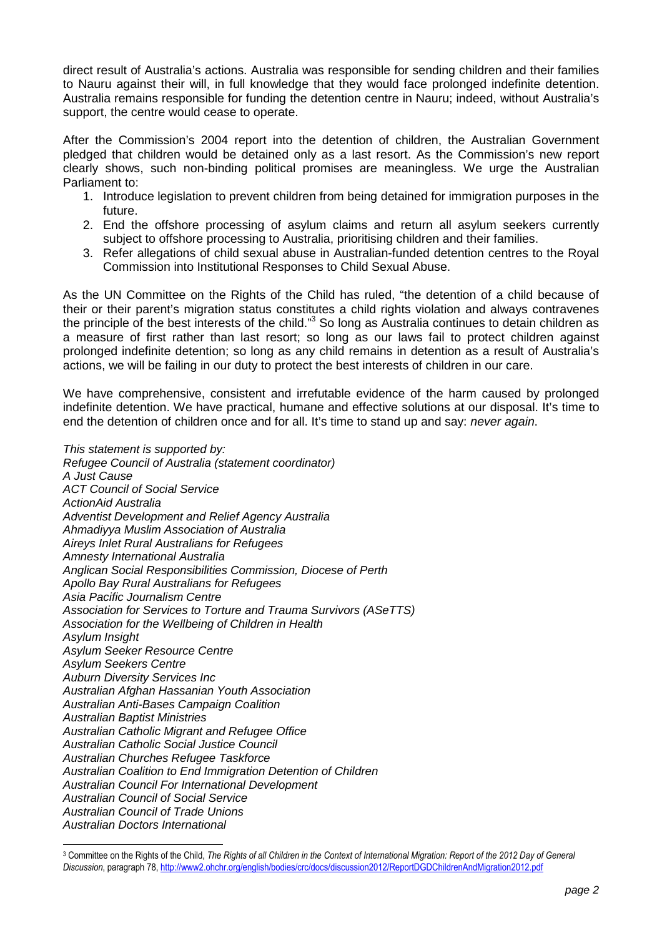direct result of Australia's actions. Australia was responsible for sending children and their families to Nauru against their will, in full knowledge that they would face prolonged indefinite detention. Australia remains responsible for funding the detention centre in Nauru; indeed, without Australia's support, the centre would cease to operate.

After the Commission's 2004 report into the detention of children, the Australian Government pledged that children would be detained only as a last resort. As the Commission's new report clearly shows, such non-binding political promises are meaningless. We urge the Australian Parliament to:

- 1. Introduce legislation to prevent children from being detained for immigration purposes in the future.
- 2. End the offshore processing of asylum claims and return all asylum seekers currently subject to offshore processing to Australia, prioritising children and their families.
- 3. Refer allegations of child sexual abuse in Australian-funded detention centres to the Royal Commission into Institutional Responses to Child Sexual Abuse.

As the UN Committee on the Rights of the Child has ruled, "the detention of a child because of their or their parent's migration status constitutes a child rights violation and always contravenes the principle of the best interests of the child."<sup>3</sup> So long as Australia continues to detain children as a measure of first rather than last resort; so long as our laws fail to protect children against prolonged indefinite detention; so long as any child remains in detention as a result of Australia's actions, we will be failing in our duty to protect the best interests of children in our care.

We have comprehensive, consistent and irrefutable evidence of the harm caused by prolonged indefinite detention. We have practical, humane and effective solutions at our disposal. It's time to end the detention of children once and for all. It's time to stand up and say: never again.

This statement is supported by: Refugee Council of Australia (statement coordinator) A Just Cause ACT Council of Social Service ActionAid Australia Adventist Development and Relief Agency Australia Ahmadiyya Muslim Association of Australia Aireys Inlet Rural Australians for Refugees Amnesty International Australia Anglican Social Responsibilities Commission, Diocese of Perth Apollo Bay Rural Australians for Refugees Asia Pacific Journalism Centre Association for Services to Torture and Trauma Survivors (ASeTTS) Association for the Wellbeing of Children in Health Asylum Insight Asylum Seeker Resource Centre Asylum Seekers Centre Auburn Diversity Services Inc Australian Afghan Hassanian Youth Association Australian Anti-Bases Campaign Coalition Australian Baptist Ministries Australian Catholic Migrant and Refugee Office Australian Catholic Social Justice Council Australian Churches Refugee Taskforce Australian Coalition to End Immigration Detention of Children Australian Council For International Development Australian Council of Social Service Australian Council of Trade Unions Australian Doctors International

 $\overline{a}$ 3 Committee on the Rights of the Child, *The Rights of all Children in the Context of International Migration: Report of the 2012 Day of General Discussion*, paragraph 78, http://www2.ohchr.org/english/bodies/crc/docs/discussion2012/ReportDGDChildrenAndMigration2012.pdf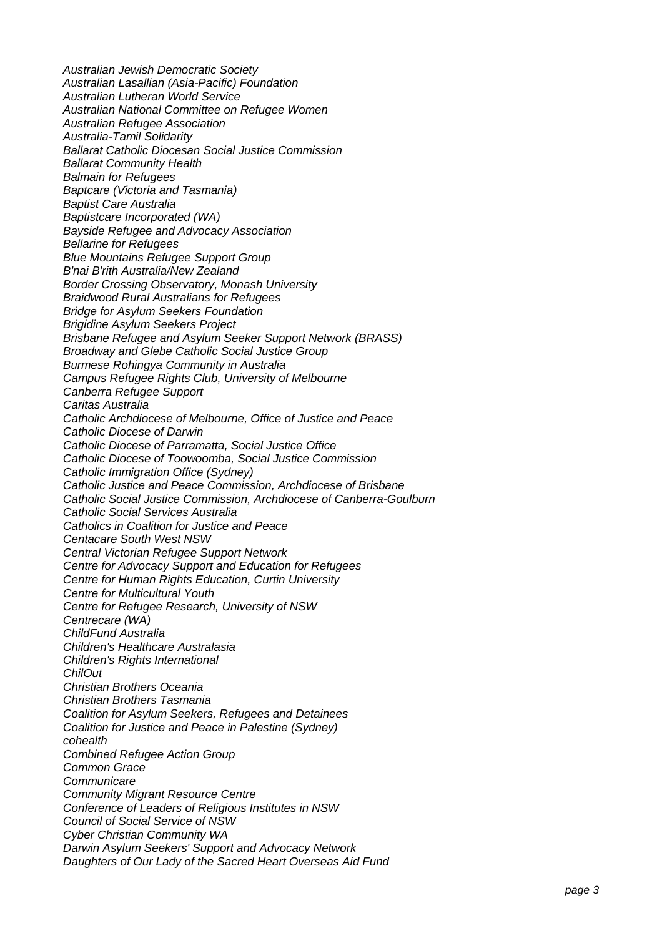Australian Jewish Democratic Society Australian Lasallian (Asia-Pacific) Foundation Australian Lutheran World Service Australian National Committee on Refugee Women Australian Refugee Association Australia-Tamil Solidarity Ballarat Catholic Diocesan Social Justice Commission Ballarat Community Health Balmain for Refugees Baptcare (Victoria and Tasmania) Baptist Care Australia Baptistcare Incorporated (WA) Bayside Refugee and Advocacy Association Bellarine for Refugees Blue Mountains Refugee Support Group B'nai B'rith Australia/New Zealand Border Crossing Observatory, Monash University Braidwood Rural Australians for Refugees Bridge for Asylum Seekers Foundation Brigidine Asylum Seekers Project Brisbane Refugee and Asylum Seeker Support Network (BRASS) Broadway and Glebe Catholic Social Justice Group Burmese Rohingya Community in Australia Campus Refugee Rights Club, University of Melbourne Canberra Refugee Support Caritas Australia Catholic Archdiocese of Melbourne, Office of Justice and Peace Catholic Diocese of Darwin Catholic Diocese of Parramatta, Social Justice Office Catholic Diocese of Toowoomba, Social Justice Commission Catholic Immigration Office (Sydney) Catholic Justice and Peace Commission, Archdiocese of Brisbane Catholic Social Justice Commission, Archdiocese of Canberra-Goulburn Catholic Social Services Australia Catholics in Coalition for Justice and Peace Centacare South West NSW Central Victorian Refugee Support Network Centre for Advocacy Support and Education for Refugees Centre for Human Rights Education, Curtin University Centre for Multicultural Youth Centre for Refugee Research, University of NSW Centrecare (WA) ChildFund Australia Children's Healthcare Australasia Children's Rights International **ChilOut** Christian Brothers Oceania Christian Brothers Tasmania Coalition for Asylum Seekers, Refugees and Detainees Coalition for Justice and Peace in Palestine (Sydney) cohealth Combined Refugee Action Group Common Grace **Communicare** Community Migrant Resource Centre Conference of Leaders of Religious Institutes in NSW Council of Social Service of NSW Cyber Christian Community WA Darwin Asylum Seekers' Support and Advocacy Network Daughters of Our Lady of the Sacred Heart Overseas Aid Fund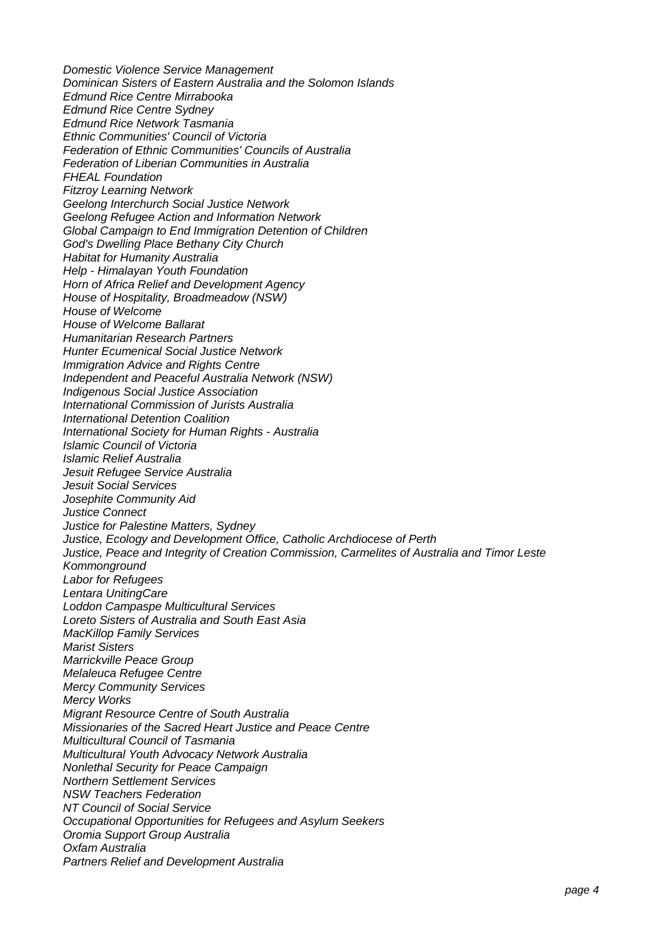Domestic Violence Service Management Dominican Sisters of Eastern Australia and the Solomon Islands Edmund Rice Centre Mirrabooka Edmund Rice Centre Sydney Edmund Rice Network Tasmania Ethnic Communities' Council of Victoria Federation of Ethnic Communities' Councils of Australia Federation of Liberian Communities in Australia FHEAL Foundation Fitzroy Learning Network Geelong Interchurch Social Justice Network Geelong Refugee Action and Information Network Global Campaign to End Immigration Detention of Children God's Dwelling Place Bethany City Church Habitat for Humanity Australia Help - Himalayan Youth Foundation Horn of Africa Relief and Development Agency House of Hospitality, Broadmeadow (NSW) House of Welcome House of Welcome Ballarat Humanitarian Research Partners Hunter Ecumenical Social Justice Network Immigration Advice and Rights Centre Independent and Peaceful Australia Network (NSW) Indigenous Social Justice Association International Commission of Jurists Australia International Detention Coalition International Society for Human Rights - Australia Islamic Council of Victoria Islamic Relief Australia Jesuit Refugee Service Australia Jesuit Social Services Josephite Community Aid Justice Connect Justice for Palestine Matters, Sydney Justice, Ecology and Development Office, Catholic Archdiocese of Perth Justice, Peace and Integrity of Creation Commission, Carmelites of Australia and Timor Leste Kommonground Labor for Refugees Lentara UnitingCare Loddon Campaspe Multicultural Services Loreto Sisters of Australia and South East Asia MacKillop Family Services Marist Sisters Marrickville Peace Group Melaleuca Refugee Centre Mercy Community Services Mercy Works Migrant Resource Centre of South Australia Missionaries of the Sacred Heart Justice and Peace Centre Multicultural Council of Tasmania Multicultural Youth Advocacy Network Australia Nonlethal Security for Peace Campaign Northern Settlement Services NSW Teachers Federation NT Council of Social Service Occupational Opportunities for Refugees and Asylum Seekers Oromia Support Group Australia Oxfam Australia Partners Relief and Development Australia